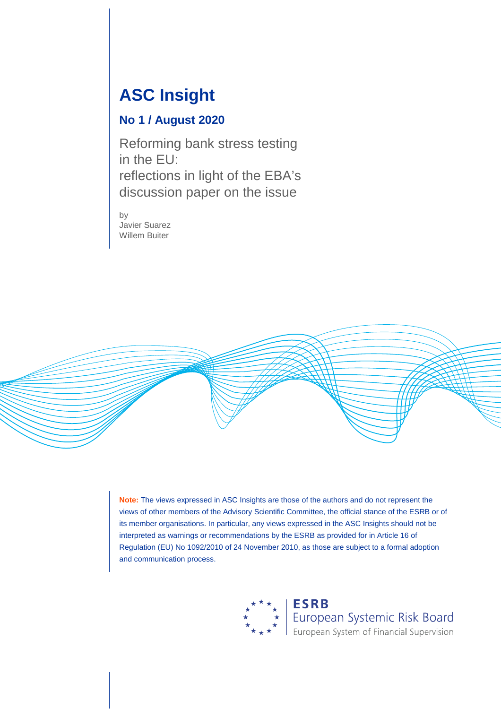## **ASC Insight**

#### **No 1 / August 2020**

Reforming bank stress testing in the EU: reflections in light of the EBA's discussion paper on the issue

by Javier Suarez Willem Buiter



<span id="page-0-0"></span>**Note:** The views expressed in ASC Insights are those of the authors and do not represent the views of other members of the Advisory Scientific Committee, the official stance of the ESRB or of its member organisations. In particular, any views expressed in the ASC Insights should not be interpreted as warnings or recommendations by the ESRB as provided for in Article 16 of Regulation (EU) No 1092/2010 of 24 November 2010, as those are subject to a formal adoption and communication process.

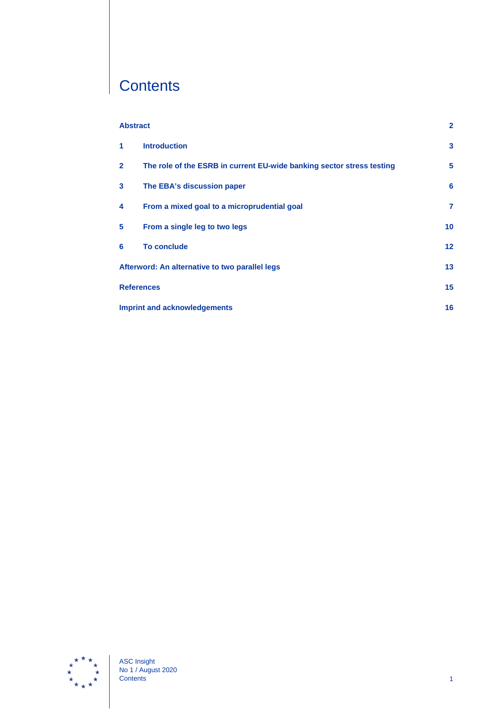# **Contents**

| <b>Abstract</b>                                |                                                                       | $\mathbf{2}$    |
|------------------------------------------------|-----------------------------------------------------------------------|-----------------|
| 1                                              | <b>Introduction</b>                                                   | 3               |
| $\mathbf{2}$                                   | The role of the ESRB in current EU-wide banking sector stress testing | 5               |
| 3                                              | The EBA's discussion paper                                            | 6               |
| 4                                              | From a mixed goal to a microprudential goal                           | 7               |
| 5                                              | From a single leg to two legs                                         | 10              |
| 6                                              | <b>To conclude</b>                                                    | 12 <sub>2</sub> |
| Afterword: An alternative to two parallel legs |                                                                       | 13              |
| <b>References</b>                              |                                                                       | 15 <sub>1</sub> |
| <b>Imprint and acknowledgements</b>            |                                                                       |                 |

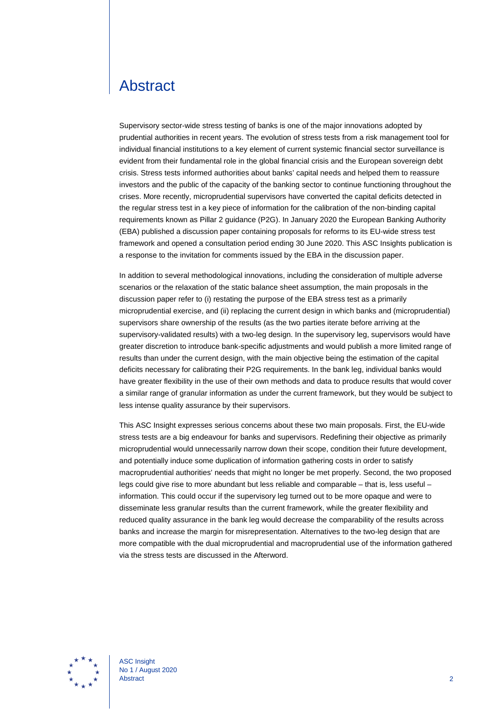#### <span id="page-2-0"></span>Abstract

Supervisory sector-wide stress testing of banks is one of the major innovations adopted by prudential authorities in recent years. The evolution of stress tests from a risk management tool for individual financial institutions to a key element of current systemic financial sector surveillance is evident from their fundamental role in the global financial crisis and the European sovereign debt crisis. Stress tests informed authorities about banks' capital needs and helped them to reassure investors and the public of the capacity of the banking sector to continue functioning throughout the crises. More recently, microprudential supervisors have converted the capital deficits detected in the regular stress test in a key piece of information for the calibration of the non-binding capital requirements known as Pillar 2 guidance (P2G). In January 2020 the European Banking Authority (EBA) published a discussion paper containing proposals for reforms to its EU-wide stress test framework and opened a consultation period ending 30 June 2020. This ASC Insights publication is a response to the invitation for comments issued by the EBA in the discussion paper.

In addition to several methodological innovations, including the consideration of multiple adverse scenarios or the relaxation of the static balance sheet assumption, the main proposals in the discussion paper refer to (i) restating the purpose of the EBA stress test as a primarily microprudential exercise, and (ii) replacing the current design in which banks and (microprudential) supervisors share ownership of the results (as the two parties iterate before arriving at the supervisory-validated results) with a two-leg design. In the supervisory leg, supervisors would have greater discretion to introduce bank-specific adjustments and would publish a more limited range of results than under the current design, with the main objective being the estimation of the capital deficits necessary for calibrating their P2G requirements. In the bank leg, individual banks would have greater flexibility in the use of their own methods and data to produce results that would cover a similar range of granular information as under the current framework, but they would be subject to less intense quality assurance by their supervisors.

This ASC Insight expresses serious concerns about these two main proposals. First, the EU-wide stress tests are a big endeavour for banks and supervisors. Redefining their objective as primarily microprudential would unnecessarily narrow down their scope, condition their future development, and potentially induce some duplication of information gathering costs in order to satisfy macroprudential authorities' needs that might no longer be met properly. Second, the two proposed legs could give rise to more abundant but less reliable and comparable – that is, less useful – information. This could occur if the supervisory leg turned out to be more opaque and were to disseminate less granular results than the current framework, while the greater flexibility and reduced quality assurance in the bank leg would decrease the comparability of the results across banks and increase the margin for misrepresentation. Alternatives to the two-leg design that are more compatible with the dual microprudential and macroprudential use of the information gathered via the stress tests are discussed in the Afterword.



<span id="page-2-1"></span>ASC Insight No 1 / August 2020 Abstract 2012 **Abstract** 2012 **2023**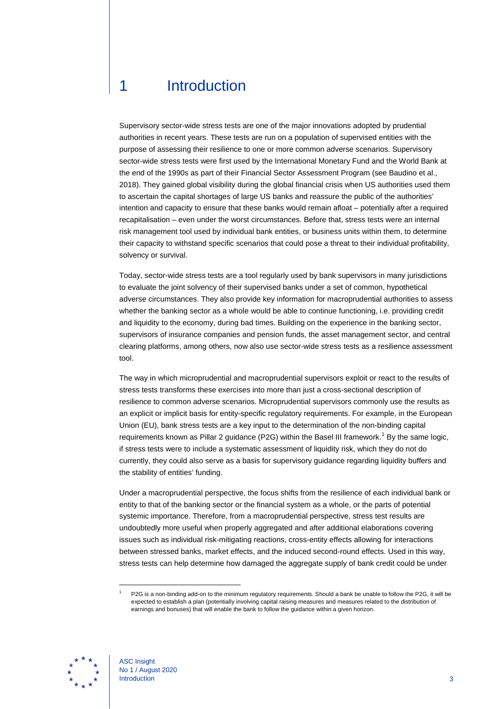#### 1 Introduction

Supervisory sector-wide stress tests are one of the major innovations adopted by prudential authorities in recent years. These tests are run on a population of supervised entities with the purpose of assessing their resilience to one or more common adverse scenarios. Supervisory sector-wide stress tests were first used by the International Monetary Fund and the World Bank at the end of the 1990s as part of their Financial Sector Assessment Program (see Baudino et al., 2018). They gained global visibility during the global financial crisis when US authorities used them to ascertain the capital shortages of large US banks and reassure the public of the authorities' intention and capacity to ensure that these banks would remain afloat – potentially after a required recapitalisation – even under the worst circumstances. Before that, stress tests were an internal risk management tool used by individual bank entities, or business units within them, to determine their capacity to withstand specific scenarios that could pose a threat to their individual profitability, solvency or survival.

Today, sector-wide stress tests are a tool regularly used by bank supervisors in many jurisdictions to evaluate the joint solvency of their supervised banks under a set of common, hypothetical adverse circumstances. They also provide key information for macroprudential authorities to assess whether the banking sector as a whole would be able to continue functioning, i.e. providing credit and liquidity to the economy, during bad times. Building on the experience in the banking sector, supervisors of insurance companies and pension funds, the asset management sector, and central clearing platforms, among others, now also use sector-wide stress tests as a resilience assessment tool.

The way in which microprudential and macroprudential supervisors exploit or react to the results of stress tests transforms these exercises into more than just a cross-sectional description of resilience to common adverse scenarios. Microprudential supervisors commonly use the results as an explicit or implicit basis for entity-specific regulatory requirements. For example, in the European Union (EU), bank stress tests are a key input to the determination of the non-binding capital requirements known as Pillar 2 guidance (P2G) within the Basel III framework.<sup>[1](#page-0-0)</sup> By the same logic, if stress tests were to include a systematic assessment of liquidity risk, which they do not do currently, they could also serve as a basis for supervisory guidance regarding liquidity buffers and the stability of entities' funding.

Under a macroprudential perspective, the focus shifts from the resilience of each individual bank or entity to that of the banking sector or the financial system as a whole, or the parts of potential systemic importance. Therefore, from a macroprudential perspective, stress test results are undoubtedly more useful when properly aggregated and after additional elaborations covering issues such as individual risk-mitigating reactions, cross-entity effects allowing for interactions between stressed banks, market effects, and the induced second-round effects. Used in this way, stress tests can help determine how damaged the aggregate supply of bank credit could be under



<sup>1</sup> P2G is a non-binding add-on to the minimum regulatory requirements. Should a bank be unable to follow the P2G, it will be expected to establish a plan (potentially involving capital raising measures and measures related to the distribution of earnings and bonuses) that will enable the bank to follow the guidance within a given horizon.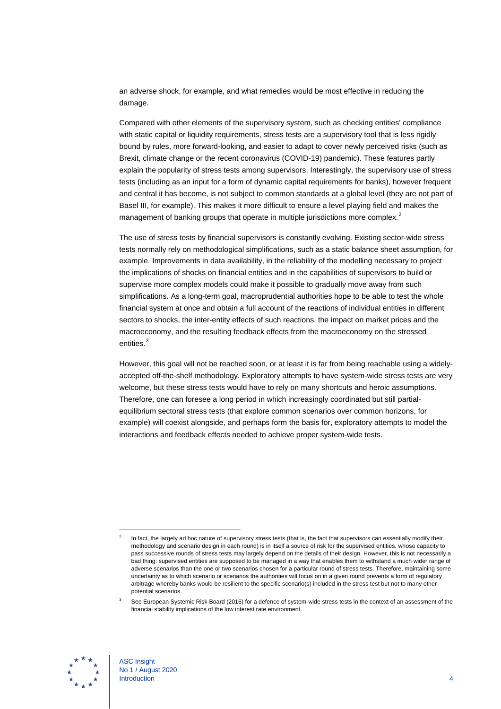an adverse shock, for example, and what remedies would be most effective in reducing the damage.

Compared with other elements of the supervisory system, such as checking entities' compliance with static capital or liquidity requirements, stress tests are a supervisory tool that is less rigidly bound by rules, more forward-looking, and easier to adapt to cover newly perceived risks (such as Brexit, climate change or the recent coronavirus (COVID-19) pandemic). These features partly explain the popularity of stress tests among supervisors. Interestingly, the supervisory use of stress tests (including as an input for a form of dynamic capital requirements for banks), however frequent and central it has become, is not subject to common standards at a global level (they are not part of Basel III, for example). This makes it more difficult to ensure a level playing field and makes the management of banking groups that operate in multiple jurisdictions more complex.<sup>[2](#page-4-0)</sup>

The use of stress tests by financial supervisors is constantly evolving. Existing sector-wide stress tests normally rely on methodological simplifications, such as a static balance sheet assumption, for example. Improvements in data availability, in the reliability of the modelling necessary to project the implications of shocks on financial entities and in the capabilities of supervisors to build or supervise more complex models could make it possible to gradually move away from such simplifications. As a long-term goal, macroprudential authorities hope to be able to test the whole financial system at once and obtain a full account of the reactions of individual entities in different sectors to shocks, the inter-entity effects of such reactions, the impact on market prices and the macroeconomy, and the resulting feedback effects from the macroeconomy on the stressed entities.<sup>[3](#page-4-1)</sup>

However, this goal will not be reached soon, or at least it is far from being reachable using a widelyaccepted off-the-shelf methodology. Exploratory attempts to have system-wide stress tests are very welcome, but these stress tests would have to rely on many shortcuts and heroic assumptions. Therefore, one can foresee a long period in which increasingly coordinated but still partialequilibrium sectoral stress tests (that explore common scenarios over common horizons, for example) will coexist alongside, and perhaps form the basis for, exploratory attempts to model the interactions and feedback effects needed to achieve proper system-wide tests.

<span id="page-4-1"></span>

<span id="page-4-0"></span>In fact, the largely ad hoc nature of supervisory stress tests (that is, the fact that supervisors can essentially modify their methodology and scenario design in each round) is in itself a source of risk for the supervised entities, whose capacity to pass successive rounds of stress tests may largely depend on the details of their design. However, this is not necessarily a bad thing: supervised entities are supposed to be managed in a way that enables them to withstand a much wider range of adverse scenarios than the one or two scenarios chosen for a particular round of stress tests. Therefore, maintaining some uncertainty as to which scenario or scenarios the authorities will focus on in a given round prevents a form of regulatory arbitrage whereby banks would be resilient to the specific scenario(s) included in the stress test but not to many other potential scenarios.

See European Systemic Risk Board (2016) for a defence of system-wide stress tests in the context of an assessment of the financial stability implications of the low interest rate environment.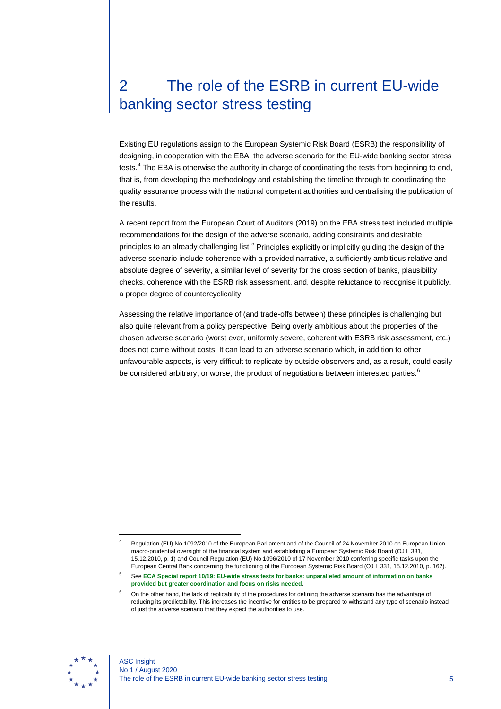### <span id="page-5-0"></span>2 The role of the ESRB in current EU-wide banking sector stress testing

Existing EU regulations assign to the European Systemic Risk Board (ESRB) the responsibility of designing, in cooperation with the EBA, the adverse scenario for the EU-wide banking sector stress tests.<sup>[4](#page-5-1)</sup> The EBA is otherwise the authority in charge of coordinating the tests from beginning to end, that is, from developing the methodology and establishing the timeline through to coordinating the quality assurance process with the national competent authorities and centralising the publication of the results.

A recent report from the European Court of Auditors (2019) on the EBA stress test included multiple recommendations for the design of the adverse scenario, adding constraints and desirable principles to an already challenging list.<sup>[5](#page-5-2)</sup> Principles explicitly or implicitly guiding the design of the adverse scenario include coherence with a provided narrative, a sufficiently ambitious relative and absolute degree of severity, a similar level of severity for the cross section of banks, plausibility checks, coherence with the ESRB risk assessment, and, despite reluctance to recognise it publicly, a proper degree of countercyclicality.

Assessing the relative importance of (and trade-offs between) these principles is challenging but also quite relevant from a policy perspective. Being overly ambitious about the properties of the chosen adverse scenario (worst ever, uniformly severe, coherent with ESRB risk assessment, etc.) does not come without costs. It can lead to an adverse scenario which, in addition to other unfavourable aspects, is very difficult to replicate by outside observers and, as a result, could easily be considered arbitrary, or worse, the product of negotiations between interested parties.<sup>[6](#page-5-3)</sup>

<span id="page-5-3"></span><span id="page-5-2"></span>

<span id="page-5-1"></span><sup>4</sup> Regulation (EU) No 1092/2010 of the European Parliament and of the Council of 24 November 2010 on European Union macro-prudential oversight of the financial system and establishing a European Systemic Risk Board (OJ L 331, 15.12.2010, p. 1) and Council Regulation (EU) No 1096/2010 of 17 November 2010 conferring specific tasks upon the European Central Bank concerning the functioning of the European Systemic Risk Board (OJ L 331, 15.12.2010, p. 162).

<sup>5</sup> See **[ECA Special report 10/19: EU-wide stress tests for banks: unparalleled amount of information on banks](https://www.eca.europa.eu/Lists/ECADocuments/SR19_10/SR_EBA_STRESS_TEST_EN.pdf)  [provided but greater coordination and focus on risks needed](https://www.eca.europa.eu/Lists/ECADocuments/SR19_10/SR_EBA_STRESS_TEST_EN.pdf)**.

<sup>6</sup> On the other hand, the lack of replicability of the procedures for defining the adverse scenario has the advantage of reducing its predictability. This increases the incentive for entities to be prepared to withstand any type of scenario instead of just the adverse scenario that they expect the authorities to use.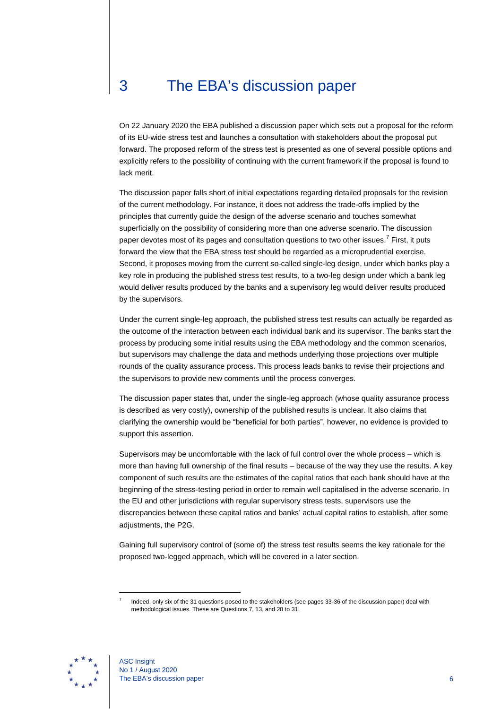### <span id="page-6-0"></span>3 The EBA's discussion paper

On 22 January 2020 the EBA published a discussion paper which sets out a proposal for the reform of its EU-wide stress test and launches a consultation with stakeholders about the proposal put forward. The proposed reform of the stress test is presented as one of several possible options and explicitly refers to the possibility of continuing with the current framework if the proposal is found to lack merit.

The discussion paper falls short of initial expectations regarding detailed proposals for the revision of the current methodology. For instance, it does not address the trade-offs implied by the principles that currently guide the design of the adverse scenario and touches somewhat superficially on the possibility of considering more than one adverse scenario. The discussion paper devotes most of its pages and consultation questions to two other issues.<sup>[7](#page-6-1)</sup> First, it puts forward the view that the EBA stress test should be regarded as a microprudential exercise. Second, it proposes moving from the current so-called single-leg design, under which banks play a key role in producing the published stress test results, to a two-leg design under which a bank leg would deliver results produced by the banks and a supervisory leg would deliver results produced by the supervisors.

Under the current single-leg approach, the published stress test results can actually be regarded as the outcome of the interaction between each individual bank and its supervisor. The banks start the process by producing some initial results using the EBA methodology and the common scenarios, but supervisors may challenge the data and methods underlying those projections over multiple rounds of the quality assurance process. This process leads banks to revise their projections and the supervisors to provide new comments until the process converges.

The discussion paper states that, under the single-leg approach (whose quality assurance process is described as very costly), ownership of the published results is unclear. It also claims that clarifying the ownership would be "beneficial for both parties", however, no evidence is provided to support this assertion.

Supervisors may be uncomfortable with the lack of full control over the whole process – which is more than having full ownership of the final results – because of the way they use the results. A key component of such results are the estimates of the capital ratios that each bank should have at the beginning of the stress-testing period in order to remain well capitalised in the adverse scenario. In the EU and other jurisdictions with regular supervisory stress tests, supervisors use the discrepancies between these capital ratios and banks' actual capital ratios to establish, after some adjustments, the P2G.

Gaining full supervisory control of (some of) the stress test results seems the key rationale for the proposed two-legged approach, which will be covered in a later section.

<span id="page-6-1"></span>

Indeed, only six of the 31 questions posed to the stakeholders (see pages 33-36 of the discussion paper) deal with methodological issues. These are Questions 7, 13, and 28 to 31.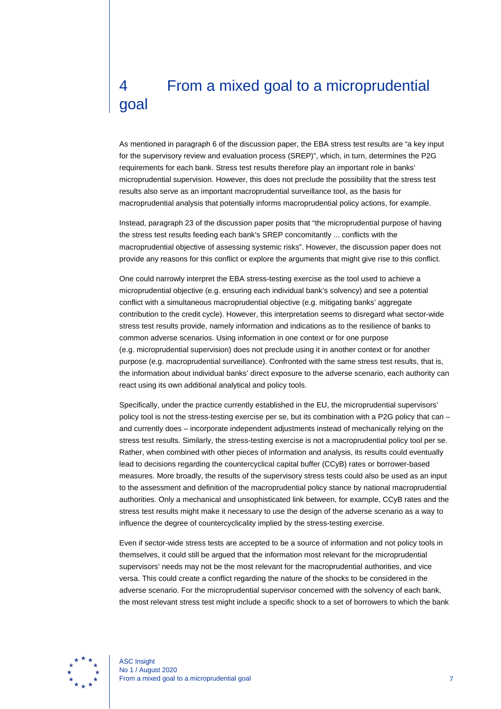## <span id="page-7-0"></span>4 From a mixed goal to a microprudential goal

As mentioned in paragraph 6 of the discussion paper, the EBA stress test results are "a key input for the supervisory review and evaluation process (SREP)", which, in turn, determines the P2G requirements for each bank. Stress test results therefore play an important role in banks' microprudential supervision. However, this does not preclude the possibility that the stress test results also serve as an important macroprudential surveillance tool, as the basis for macroprudential analysis that potentially informs macroprudential policy actions, for example.

Instead, paragraph 23 of the discussion paper posits that "the microprudential purpose of having the stress test results feeding each bank's SREP concomitantly ... conflicts with the macroprudential objective of assessing systemic risks". However, the discussion paper does not provide any reasons for this conflict or explore the arguments that might give rise to this conflict.

One could narrowly interpret the EBA stress-testing exercise as the tool used to achieve a microprudential objective (e.g. ensuring each individual bank's solvency) and see a potential conflict with a simultaneous macroprudential objective (e.g. mitigating banks' aggregate contribution to the credit cycle). However, this interpretation seems to disregard what sector-wide stress test results provide, namely information and indications as to the resilience of banks to common adverse scenarios. Using information in one context or for one purpose (e.g. microprudential supervision) does not preclude using it in another context or for another purpose (e.g. macroprudential surveillance). Confronted with the same stress test results, that is, the information about individual banks' direct exposure to the adverse scenario, each authority can react using its own additional analytical and policy tools.

Specifically, under the practice currently established in the EU, the microprudential supervisors' policy tool is not the stress-testing exercise per se, but its combination with a P2G policy that can – and currently does – incorporate independent adjustments instead of mechanically relying on the stress test results. Similarly, the stress-testing exercise is not a macroprudential policy tool per se. Rather, when combined with other pieces of information and analysis, its results could eventually lead to decisions regarding the countercyclical capital buffer (CCyB) rates or borrower-based measures. More broadly, the results of the supervisory stress tests could also be used as an input to the assessment and definition of the macroprudential policy stance by national macroprudential authorities. Only a mechanical and unsophisticated link between, for example, CCyB rates and the stress test results might make it necessary to use the design of the adverse scenario as a way to influence the degree of countercyclicality implied by the stress-testing exercise.

Even if sector-wide stress tests are accepted to be a source of information and not policy tools in themselves, it could still be argued that the information most relevant for the microprudential supervisors' needs may not be the most relevant for the macroprudential authorities, and vice versa. This could create a conflict regarding the nature of the shocks to be considered in the adverse scenario. For the microprudential supervisor concerned with the solvency of each bank, the most relevant stress test might include a specific shock to a set of borrowers to which the bank

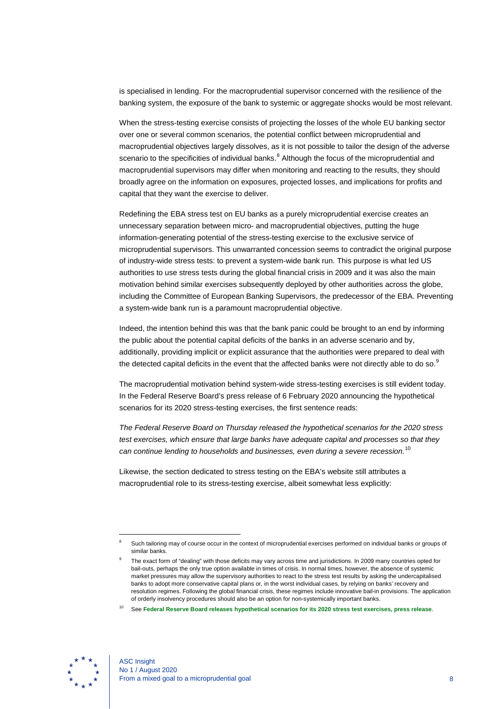is specialised in lending. For the macroprudential supervisor concerned with the resilience of the banking system, the exposure of the bank to systemic or aggregate shocks would be most relevant.

When the stress-testing exercise consists of projecting the losses of the whole EU banking sector over one or several common scenarios, the potential conflict between microprudential and macroprudential objectives largely dissolves, as it is not possible to tailor the design of the adverse scenario to the specificities of individual banks.<sup>[8](#page-8-0)</sup> Although the focus of the microprudential and macroprudential supervisors may differ when monitoring and reacting to the results, they should broadly agree on the information on exposures, projected losses, and implications for profits and capital that they want the exercise to deliver.

Redefining the EBA stress test on EU banks as a purely microprudential exercise creates an unnecessary separation between micro- and macroprudential objectives, putting the huge information-generating potential of the stress-testing exercise to the exclusive service of microprudential supervisors. This unwarranted concession seems to contradict the original purpose of industry-wide stress tests: to prevent a system-wide bank run. This purpose is what led US authorities to use stress tests during the global financial crisis in 2009 and it was also the main motivation behind similar exercises subsequently deployed by other authorities across the globe, including the Committee of European Banking Supervisors, the predecessor of the EBA. Preventing a system-wide bank run is a paramount macroprudential objective.

Indeed, the intention behind this was that the bank panic could be brought to an end by informing the public about the potential capital deficits of the banks in an adverse scenario and by, additionally, providing implicit or explicit assurance that the authorities were prepared to deal with the detected capital deficits in the event that the affected banks were not directly able to do so.<sup>[9](#page-8-1)</sup>

The macroprudential motivation behind system-wide stress-testing exercises is still evident today. In the Federal Reserve Board's press release of 6 February 2020 announcing the hypothetical scenarios for its 2020 stress-testing exercises, the first sentence reads:

*The Federal Reserve Board on Thursday released the hypothetical scenarios for the 2020 stress test exercises, which ensure that large banks have adequate capital and processes so that they can continue lending to households and businesses, even during a severe recession.*[10](#page-8-2)

Likewise, the section dedicated to stress testing on the EBA's website still attributes a macroprudential role to its stress-testing exercise, albeit somewhat less explicitly:

<span id="page-8-2"></span><span id="page-8-1"></span>

<span id="page-8-0"></span>Such tailoring may of course occur in the context of microprudential exercises performed on individual banks or groups of similar banks.

The exact form of "dealing" with those deficits may vary across time and jurisdictions. In 2009 many countries opted for bail-outs, perhaps the only true option available in times of crisis. In normal times, however, the absence of systemic market pressures may allow the supervisory authorities to react to the stress test results by asking the undercapitalised banks to adopt more conservative capital plans or, in the worst individual cases, by relying on banks' recovery and resolution regimes. Following the global financial crisis, these regimes include innovative bail-in provisions. The application of orderly insolvency procedures should also be an option for non-systemically important banks.

<sup>10</sup> See **[Federal Reserve Board releases hypothetical scenarios for its 2020 stress test exercises,](https://www.federalreserve.gov/newsevents/pressreleases/bcreg20200206a.htm) press release**.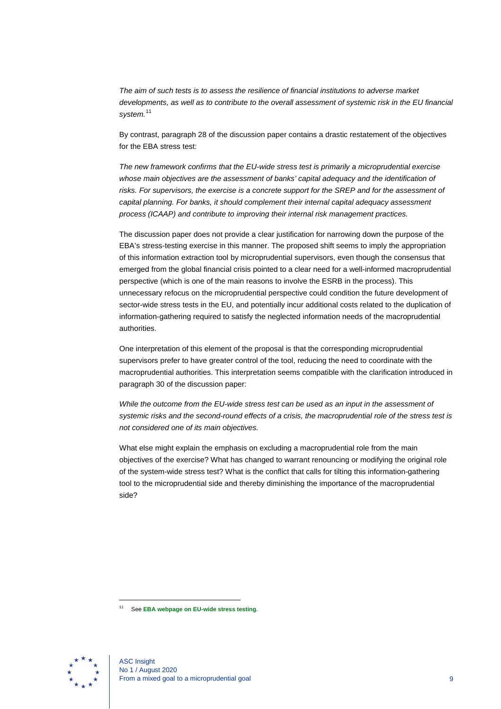*The aim of such tests is to assess the resilience of financial institutions to adverse market developments, as well as to contribute to the overall assessment of systemic risk in the EU financial system.*[11](#page-9-0)

By contrast, paragraph 28 of the discussion paper contains a drastic restatement of the objectives for the EBA stress test:

*The new framework confirms that the EU-wide stress test is primarily a microprudential exercise whose main objectives are the assessment of banks' capital adequacy and the identification of*  risks. For supervisors, the exercise is a concrete support for the SREP and for the assessment of *capital planning. For banks, it should complement their internal capital adequacy assessment process (ICAAP) and contribute to improving their internal risk management practices.*

The discussion paper does not provide a clear justification for narrowing down the purpose of the EBA's stress-testing exercise in this manner. The proposed shift seems to imply the appropriation of this information extraction tool by microprudential supervisors, even though the consensus that emerged from the global financial crisis pointed to a clear need for a well-informed macroprudential perspective (which is one of the main reasons to involve the ESRB in the process). This unnecessary refocus on the microprudential perspective could condition the future development of sector-wide stress tests in the EU, and potentially incur additional costs related to the duplication of information-gathering required to satisfy the neglected information needs of the macroprudential authorities.

One interpretation of this element of the proposal is that the corresponding microprudential supervisors prefer to have greater control of the tool, reducing the need to coordinate with the macroprudential authorities. This interpretation seems compatible with the clarification introduced in paragraph 30 of the discussion paper:

*While the outcome from the EU-wide stress test can be used as an input in the assessment of systemic risks and the second-round effects of a crisis, the macroprudential role of the stress test is not considered one of its main objectives.*

What else might explain the emphasis on excluding a macroprudential role from the main objectives of the exercise? What has changed to warrant renouncing or modifying the original role of the system-wide stress test? What is the conflict that calls for tilting this information-gathering tool to the microprudential side and thereby diminishing the importance of the macroprudential side?

<span id="page-9-0"></span>

<sup>11</sup> See **[EBA webpage on EU-wide stress testing](https://eba.europa.eu/risk-analysis-and-data/eu-wide-stress-testing)**.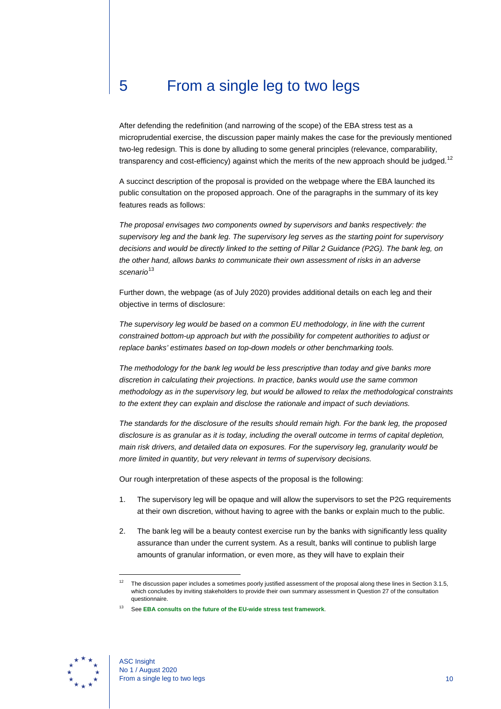#### <span id="page-10-0"></span>5 From a single leg to two legs

After defending the redefinition (and narrowing of the scope) of the EBA stress test as a microprudential exercise, the discussion paper mainly makes the case for the previously mentioned two-leg redesign. This is done by alluding to some general principles (relevance, comparability, transparency and cost-efficiency) against which the merits of the new approach should be judged.<sup>[12](#page-10-1)</sup>

A succinct description of the proposal is provided on the webpage where the EBA launched its public consultation on the proposed approach. One of the paragraphs in the summary of its key features reads as follows:

*The proposal envisages two components owned by supervisors and banks respectively: the supervisory leg and the bank leg. The supervisory leg serves as the starting point for supervisory decisions and would be directly linked to the setting of Pillar 2 Guidance (P2G). The bank leg, on the other hand, allows banks to communicate their own assessment of risks in an adverse scenario*[13](#page-10-2)

Further down, the webpage (as of July 2020) provides additional details on each leg and their objective in terms of disclosure:

*The supervisory leg would be based on a common EU methodology, in line with the current constrained bottom-up approach but with the possibility for competent authorities to adjust or replace banks' estimates based on top-down models or other benchmarking tools.*

*The methodology for the bank leg would be less prescriptive than today and give banks more discretion in calculating their projections. In practice, banks would use the same common methodology as in the supervisory leg, but would be allowed to relax the methodological constraints to the extent they can explain and disclose the rationale and impact of such deviations.*

*The standards for the disclosure of the results should remain high. For the bank leg, the proposed disclosure is as granular as it is today, including the overall outcome in terms of capital depletion, main risk drivers, and detailed data on exposures. For the supervisory leg, granularity would be more limited in quantity, but very relevant in terms of supervisory decisions.*

Our rough interpretation of these aspects of the proposal is the following:

- 1. The supervisory leg will be opaque and will allow the supervisors to set the P2G requirements at their own discretion, without having to agree with the banks or explain much to the public.
- 2. The bank leg will be a beauty contest exercise run by the banks with significantly less quality assurance than under the current system. As a result, banks will continue to publish large amounts of granular information, or even more, as they will have to explain their

<span id="page-10-2"></span><span id="page-10-1"></span>

The discussion paper includes a sometimes poorly justified assessment of the proposal along these lines in Section 3.1.5, which concludes by inviting stakeholders to provide their own summary assessment in Question 27 of the consultation questionnaire.

<sup>13</sup> See **[EBA consults on the future of the EU-wide stress test framework](https://eba.europa.eu/eba-consults-future-eu-wide-stress-test-framework)**.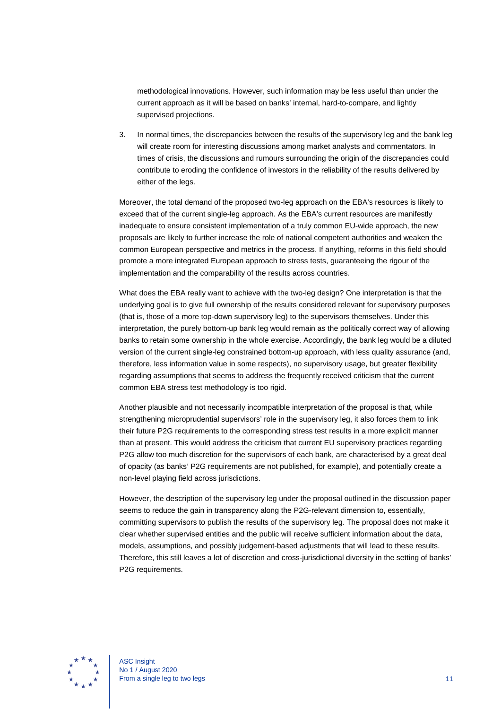methodological innovations. However, such information may be less useful than under the current approach as it will be based on banks' internal, hard-to-compare, and lightly supervised projections.

3. In normal times, the discrepancies between the results of the supervisory leg and the bank leg will create room for interesting discussions among market analysts and commentators. In times of crisis, the discussions and rumours surrounding the origin of the discrepancies could contribute to eroding the confidence of investors in the reliability of the results delivered by either of the legs.

Moreover, the total demand of the proposed two-leg approach on the EBA's resources is likely to exceed that of the current single-leg approach. As the EBA's current resources are manifestly inadequate to ensure consistent implementation of a truly common EU-wide approach, the new proposals are likely to further increase the role of national competent authorities and weaken the common European perspective and metrics in the process. If anything, reforms in this field should promote a more integrated European approach to stress tests, guaranteeing the rigour of the implementation and the comparability of the results across countries.

What does the EBA really want to achieve with the two-leg design? One interpretation is that the underlying goal is to give full ownership of the results considered relevant for supervisory purposes (that is, those of a more top-down supervisory leg) to the supervisors themselves. Under this interpretation, the purely bottom-up bank leg would remain as the politically correct way of allowing banks to retain some ownership in the whole exercise. Accordingly, the bank leg would be a diluted version of the current single-leg constrained bottom-up approach, with less quality assurance (and, therefore, less information value in some respects), no supervisory usage, but greater flexibility regarding assumptions that seems to address the frequently received criticism that the current common EBA stress test methodology is too rigid.

Another plausible and not necessarily incompatible interpretation of the proposal is that, while strengthening microprudential supervisors' role in the supervisory leg, it also forces them to link their future P2G requirements to the corresponding stress test results in a more explicit manner than at present. This would address the criticism that current EU supervisory practices regarding P2G allow too much discretion for the supervisors of each bank, are characterised by a great deal of opacity (as banks' P2G requirements are not published, for example), and potentially create a non-level playing field across jurisdictions.

However, the description of the supervisory leg under the proposal outlined in the discussion paper seems to reduce the gain in transparency along the P2G-relevant dimension to, essentially, committing supervisors to publish the results of the supervisory leg. The proposal does not make it clear whether supervised entities and the public will receive sufficient information about the data, models, assumptions, and possibly judgement-based adjustments that will lead to these results. Therefore, this still leaves a lot of discretion and cross-jurisdictional diversity in the setting of banks' P2G requirements.

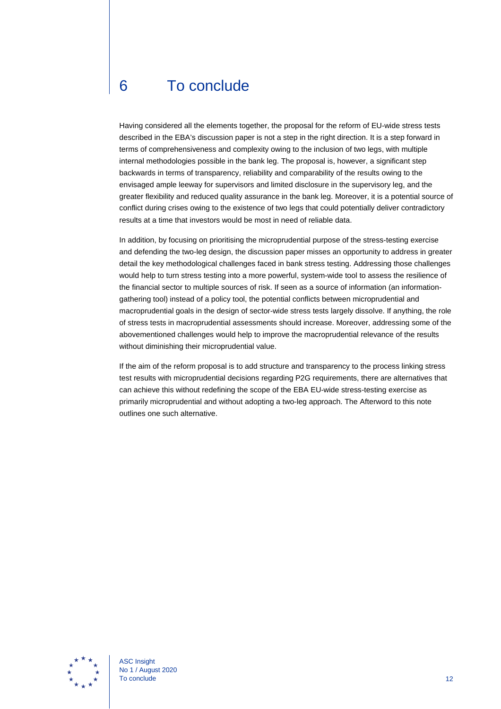### <span id="page-12-0"></span>6 To conclude

Having considered all the elements together, the proposal for the reform of EU-wide stress tests described in the EBA's discussion paper is not a step in the right direction. It is a step forward in terms of comprehensiveness and complexity owing to the inclusion of two legs, with multiple internal methodologies possible in the bank leg. The proposal is, however, a significant step backwards in terms of transparency, reliability and comparability of the results owing to the envisaged ample leeway for supervisors and limited disclosure in the supervisory leg, and the greater flexibility and reduced quality assurance in the bank leg. Moreover, it is a potential source of conflict during crises owing to the existence of two legs that could potentially deliver contradictory results at a time that investors would be most in need of reliable data.

In addition, by focusing on prioritising the microprudential purpose of the stress-testing exercise and defending the two-leg design, the discussion paper misses an opportunity to address in greater detail the key methodological challenges faced in bank stress testing. Addressing those challenges would help to turn stress testing into a more powerful, system-wide tool to assess the resilience of the financial sector to multiple sources of risk. If seen as a source of information (an informationgathering tool) instead of a policy tool, the potential conflicts between microprudential and macroprudential goals in the design of sector-wide stress tests largely dissolve. If anything, the role of stress tests in macroprudential assessments should increase. Moreover, addressing some of the abovementioned challenges would help to improve the macroprudential relevance of the results without diminishing their microprudential value.

If the aim of the reform proposal is to add structure and transparency to the process linking stress test results with microprudential decisions regarding P2G requirements, there are alternatives that can achieve this without redefining the scope of the EBA EU-wide stress-testing exercise as primarily microprudential and without adopting a two-leg approach. The Afterword to this note outlines one such alternative.



ASC Insight No 1 / August 2020 To conclude  $12$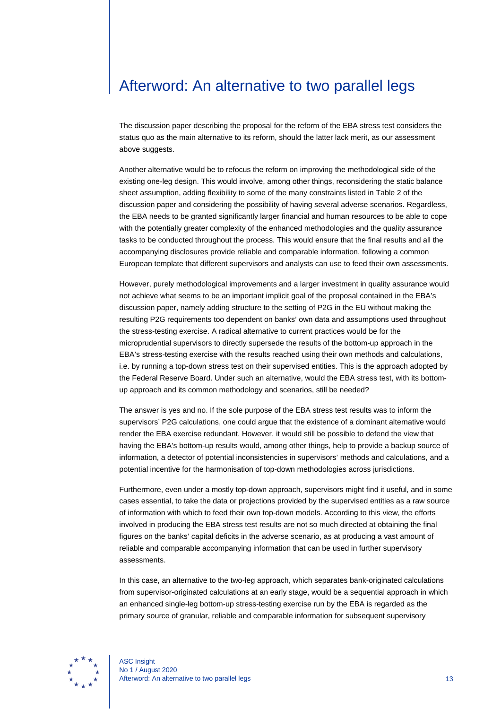#### <span id="page-13-0"></span>Afterword: An alternative to two parallel legs

The discussion paper describing the proposal for the reform of the EBA stress test considers the status quo as the main alternative to its reform, should the latter lack merit, as our assessment above suggests.

Another alternative would be to refocus the reform on improving the methodological side of the existing one-leg design. This would involve, among other things, reconsidering the static balance sheet assumption, adding flexibility to some of the many constraints listed in Table 2 of the discussion paper and considering the possibility of having several adverse scenarios. Regardless, the EBA needs to be granted significantly larger financial and human resources to be able to cope with the potentially greater complexity of the enhanced methodologies and the quality assurance tasks to be conducted throughout the process. This would ensure that the final results and all the accompanying disclosures provide reliable and comparable information, following a common European template that different supervisors and analysts can use to feed their own assessments.

However, purely methodological improvements and a larger investment in quality assurance would not achieve what seems to be an important implicit goal of the proposal contained in the EBA's discussion paper, namely adding structure to the setting of P2G in the EU without making the resulting P2G requirements too dependent on banks' own data and assumptions used throughout the stress-testing exercise. A radical alternative to current practices would be for the microprudential supervisors to directly supersede the results of the bottom-up approach in the EBA's stress-testing exercise with the results reached using their own methods and calculations, i.e. by running a top-down stress test on their supervised entities. This is the approach adopted by the Federal Reserve Board. Under such an alternative, would the EBA stress test, with its bottomup approach and its common methodology and scenarios, still be needed?

The answer is yes and no. If the sole purpose of the EBA stress test results was to inform the supervisors' P2G calculations, one could argue that the existence of a dominant alternative would render the EBA exercise redundant. However, it would still be possible to defend the view that having the EBA's bottom-up results would, among other things, help to provide a backup source of information, a detector of potential inconsistencies in supervisors' methods and calculations, and a potential incentive for the harmonisation of top-down methodologies across jurisdictions.

Furthermore, even under a mostly top-down approach, supervisors might find it useful, and in some cases essential, to take the data or projections provided by the supervised entities as a raw source of information with which to feed their own top-down models. According to this view, the efforts involved in producing the EBA stress test results are not so much directed at obtaining the final figures on the banks' capital deficits in the adverse scenario, as at producing a vast amount of reliable and comparable accompanying information that can be used in further supervisory assessments.

In this case, an alternative to the two-leg approach, which separates bank-originated calculations from supervisor-originated calculations at an early stage, would be a sequential approach in which an enhanced single-leg bottom-up stress-testing exercise run by the EBA is regarded as the primary source of granular, reliable and comparable information for subsequent supervisory

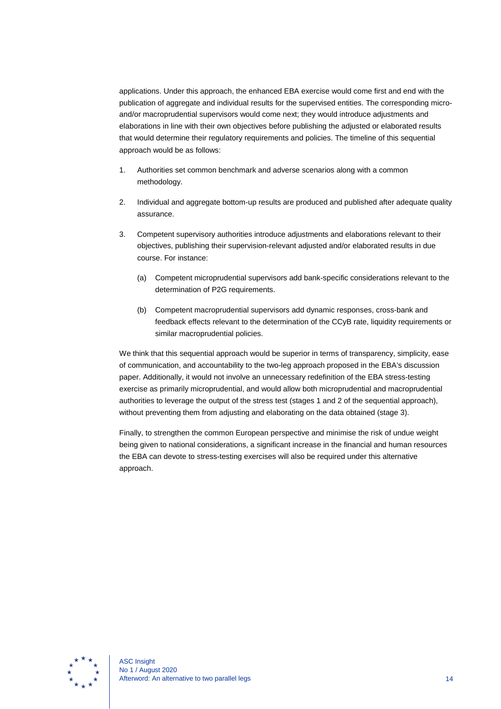applications. Under this approach, the enhanced EBA exercise would come first and end with the publication of aggregate and individual results for the supervised entities. The corresponding microand/or macroprudential supervisors would come next; they would introduce adjustments and elaborations in line with their own objectives before publishing the adjusted or elaborated results that would determine their regulatory requirements and policies. The timeline of this sequential approach would be as follows:

- 1. Authorities set common benchmark and adverse scenarios along with a common methodology.
- 2. Individual and aggregate bottom-up results are produced and published after adequate quality assurance.
- 3. Competent supervisory authorities introduce adjustments and elaborations relevant to their objectives, publishing their supervision-relevant adjusted and/or elaborated results in due course. For instance:
	- (a) Competent microprudential supervisors add bank-specific considerations relevant to the determination of P2G requirements.
	- (b) Competent macroprudential supervisors add dynamic responses, cross-bank and feedback effects relevant to the determination of the CCyB rate, liquidity requirements or similar macroprudential policies.

We think that this sequential approach would be superior in terms of transparency, simplicity, ease of communication, and accountability to the two-leg approach proposed in the EBA's discussion paper. Additionally, it would not involve an unnecessary redefinition of the EBA stress-testing exercise as primarily microprudential, and would allow both microprudential and macroprudential authorities to leverage the output of the stress test (stages 1 and 2 of the sequential approach), without preventing them from adjusting and elaborating on the data obtained (stage 3).

Finally, to strengthen the common European perspective and minimise the risk of undue weight being given to national considerations, a significant increase in the financial and human resources the EBA can devote to stress-testing exercises will also be required under this alternative approach.

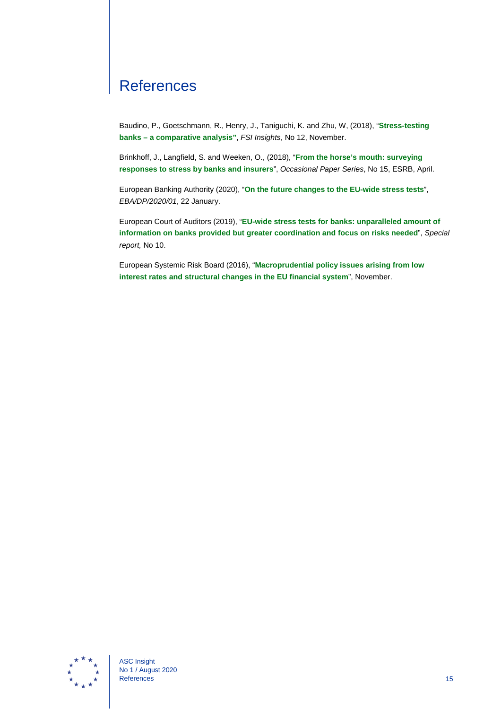### <span id="page-15-0"></span>**References**

Baudino, P., Goetschmann, R., Henry, J., Taniguchi, K. and Zhu, W, (2018), "**[Stress-testing](https://www.bis.org/fsi/publ/insights12.pdf)  banks – [a comparative analysis"](https://www.bis.org/fsi/publ/insights12.pdf)**, *FSI Insights*, No 12, November.

Brinkhoff, J., Langfield, S. and Weeken, O., (2018), "**[From the horse's mouth: surveying](https://www.esrb.europa.eu/pub/pdf/occasional/esrb.op15.en.pdf)  [responses to stress by banks and insurers](https://www.esrb.europa.eu/pub/pdf/occasional/esrb.op15.en.pdf)**", *Occasional Paper Series*, No 15, ESRB, April.

European Banking Authority (2020), "**[On the future changes to the EU-wide stress tests](https://eba.europa.eu/file/637181/download?token=j0QnQxw6)**", *EBA/DP/2020/01*, 22 January.

European Court of Auditors (2019), "**[EU-wide stress tests for banks: unparalleled amount of](https://www.eca.europa.eu/Lists/ECADocuments/SR19_10/SR_EBA_STRESS_TEST_EN.pdf)  [information on banks provided but greater coordination and focus on risks needed](https://www.eca.europa.eu/Lists/ECADocuments/SR19_10/SR_EBA_STRESS_TEST_EN.pdf)**", *Special report,* No 10.

European Systemic Risk Board (2016), "**[Macroprudential policy issues arising from low](https://www.esrb.europa.eu/pub/pdf/reports/161128_low_interest_rate_report.en.pdf)  [interest rates and structural changes in the EU financial system](https://www.esrb.europa.eu/pub/pdf/reports/161128_low_interest_rate_report.en.pdf)**", November.